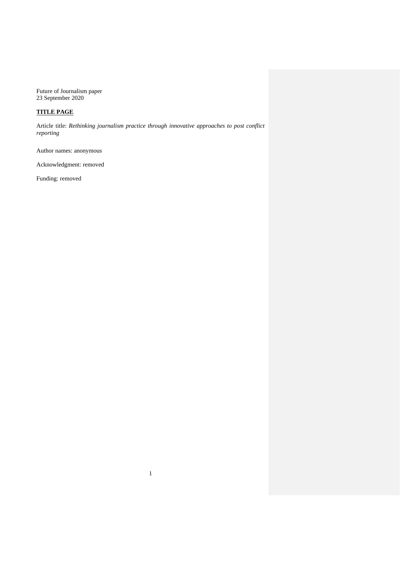# **TITLE PAGE**

Article title: *Rethinking journalism practice through innovative approaches to post conflict reporting*

1

Author names: anonymous

Acknowledgment: removed

Funding: removed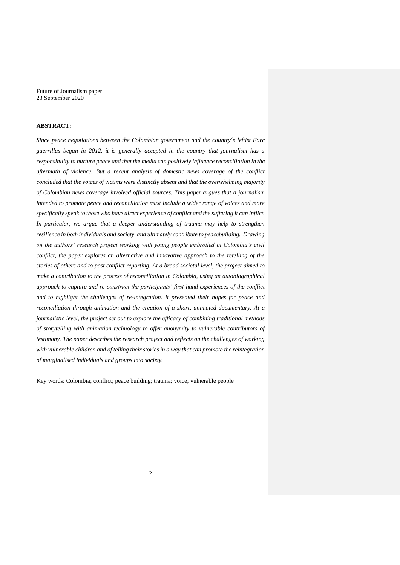## **ABSTRACT:**

*Since peace negotiations between the Colombian government and the country´s leftist Farc guerrillas began in 2012, it is generally accepted in the country that journalism has a responsibility to nurture peace and that the media can positively influence reconciliation in the aftermath of violence. But a recent analysis of domestic news coverage of the conflict concluded that the voices of victims were distinctly absent and that the overwhelming majority of Colombian news coverage involved official sources. This paper argues that a journalism intended to promote peace and reconciliation must include a wider range of voices and more specifically speak to those who have direct experience of conflict and the suffering it can inflict.*  In particular, we argue that a deeper understanding of trauma may help to strengthen *resilience in both individuals and society, and ultimately contribute to peacebuilding. Drawing on the authors' research project working with young people embroiled in Colombia's civil conflict, the paper explores an alternative and innovative approach to the retelling of the stories of others and to post conflict reporting. At a broad societal level, the project aimed to make a contribution to the process of reconciliation in Colombia, using an autobiographical approach to capture and re-construct the participants' first-hand experiences of the conflict and to highlight the challenges of re-integration. It presented their hopes for peace and reconciliation through animation and the creation of a short, animated documentary. At a journalistic level, the project set out to explore the efficacy of combining traditional methods of storytelling with animation technology to offer anonymity to vulnerable contributors of testimony. The paper describes the research project and reflects on the challenges of working with vulnerable children and of telling their stories in a way that can promote the reintegration of marginalised individuals and groups into society.*

Key words: Colombia; conflict; peace building; trauma; voice; vulnerable people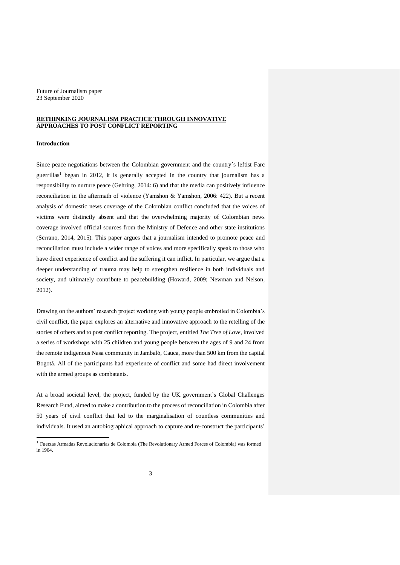## **RETHINKING JOURNALISM PRACTICE THROUGH INNOVATIVE APPROACHES TO POST CONFLICT REPORTING**

## **Introduction**

Since peace negotiations between the Colombian government and the country´s leftist Farc guerrillas<sup>1</sup> began in 2012, it is generally accepted in the country that journalism has a responsibility to nurture peace (Gehring, 2014: 6) and that the media can positively influence reconciliation in the aftermath of violence (Yamshon & Yamshon, 2006: 422). But a recent analysis of domestic news coverage of the Colombian conflict concluded that the voices of victims were distinctly absent and that the overwhelming majority of Colombian news coverage involved official sources from the Ministry of Defence and other state institutions (Serrano, 2014, 2015). This paper argues that a journalism intended to promote peace and reconciliation must include a wider range of voices and more specifically speak to those who have direct experience of conflict and the suffering it can inflict. In particular, we argue that a deeper understanding of trauma may help to strengthen resilience in both individuals and society, and ultimately contribute to peacebuilding (Howard, 2009; Newman and Nelson, 2012).

Drawing on the authors' research project working with young people embroiled in Colombia's civil conflict, the paper explores an alternative and innovative approach to the retelling of the stories of others and to post conflict reporting. The project, entitled *The Tree of Love*, involved a series of workshops with 25 children and young people between the ages of 9 and 24 from the remote indigenous Nasa community in Jambaló, Cauca, more than 500 km from the capital Bogotá. All of the participants had experience of conflict and some had direct involvement with the armed groups as combatants.

At a broad societal level, the project, funded by the UK government's Global Challenges Research Fund, aimed to make a contribution to the process of reconciliation in Colombia after 50 years of civil conflict that led to the marginalisation of countless communities and individuals. It used an autobiographical approach to capture and re-construct the participants'

<sup>&</sup>lt;sup>1</sup> Fuerzas Armadas Revolucionarias de Colombia (The Revolutionary Armed Forces of Colombia) was formed in 1964.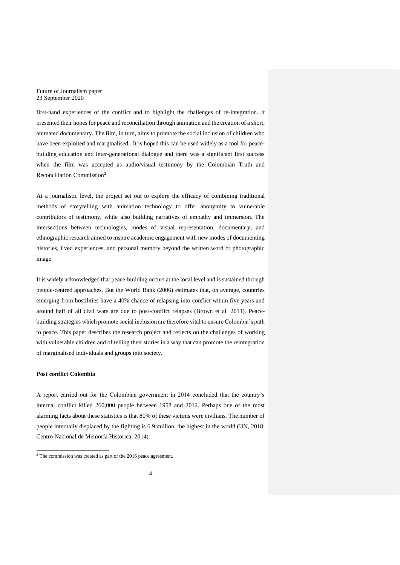first-hand experiences of the conflict and to highlight the challenges of re-integration. It presented their hopes for peace and reconciliation through animation and the creation of a short, animated documentary. The film, in turn, aims to promote the social inclusion of children who have been exploited and marginalised. It is hoped this can be used widely as a tool for peacebuilding education and inter-generational dialogue and there was a significant first success when the film was accepted as audio/visual testimony by the Colombian Truth and Reconciliation Commission<sup>2</sup>.

At a journalistic level, the project set out to explore the efficacy of combining traditional methods of storytelling with animation technology to offer anonymity to vulnerable contributors of testimony, while also building narratives of empathy and immersion. The intersections between technologies, modes of visual representation, documentary, and ethnographic research aimed to inspire academic engagement with new modes of documenting histories, lived experiences, and personal memory beyond the written word or photographic image.

It is widely acknowledged that peace-building occurs at the local level and is sustained through people-centred approaches. But the World Bank (2006) estimates that, on average, countries emerging from hostilities have a 40% chance of relapsing into conflict within five years and around half of all civil wars are due to post-conflict relapses (Brown et al. 2011). Peacebuilding strategies which promote social inclusion are therefore vital to ensure Colombia's path to peace. This paper describes the research project and reflects on the challenges of working with vulnerable children and of telling their stories in a way that can promote the reintegration of marginalised individuals and groups into society.

## **Post conflict Colombia**

A report carried out for the Colombian government in 2014 concluded that the country's internal conflict killed 260,000 people between 1958 and 2012. Perhaps one of the most alarming facts about these statistics is that 80% of these victims were civilians. The number of people internally displaced by the fighting is 6.9 million, the highest in the world (UN, 2018; Centro Nacional de Memoría Historica, 2014).

<sup>&</sup>lt;sup>2</sup> The commission was created as part of the 2016 peace agreement.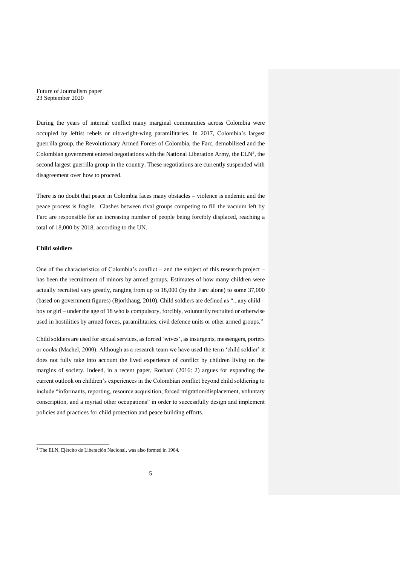During the years of internal conflict many marginal communities across Colombia were occupied by leftist rebels or ultra-right-wing paramilitaries. In 2017, Colombia's largest guerrilla group, the Revolutionary Armed Forces of Colombia, the Farc, demobilised and the Colombian government entered negotiations with the National Liberation Army, the  $ELN^3$ , the second largest guerrilla group in the country. These negotiations are currently suspended with disagreement over how to proceed.

There is no doubt that peace in Colombia faces many obstacles – violence is endemic and the peace process is fragile. Clashes between rival groups competing to fill the vacuum left by Farc are responsible for an increasing number of people being forcibly displaced, reaching a total of 18,000 by 2018, according to the UN.

## **Child soldiers**

One of the characteristics of Colombia's conflict – and the subject of this research project – has been the recruitment of minors by armed groups. Estimates of how many children were actually recruited vary greatly, ranging from up to 18,000 (by the Farc alone) to some 37,000 (based on government figures) (Bjorkhaug, 2010). Child soldiers are defined as "...any child – boy or girl – under the age of 18 who is compulsory, forcibly, voluntarily recruited or otherwise used in hostilities by armed forces, paramilitaries, civil defence units or other armed groups."

Child soldiers are used for sexual services, as forced 'wives', as insurgents, messengers, porters or cooks (Machel, 2000). Although as a research team we have used the term 'child soldier' it does not fully take into account the lived experience of conflict by children living on the margins of society. Indeed, in a recent paper, Roshani (2016: 2) argues for expanding the current outlook on children's experiences in the Colombian conflict beyond child soldiering to include "informants, reporting, resource acquisition, forced migration/displacement, voluntary conscription, and a myriad other occupations" in order to successfully design and implement policies and practices for child protection and peace building efforts.

<sup>3</sup> The ELN, Ejército de Liberación Nacional, was also formed in 1964.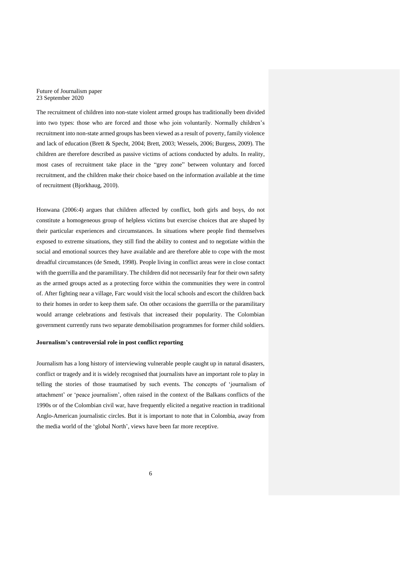The recruitment of children into non-state violent armed groups has traditionally been divided into two types: those who are forced and those who join voluntarily. Normally children's recruitment into non-state armed groups has been viewed as a result of poverty, family violence and lack of education (Brett & Specht, 2004; Brett, 2003; Wessels, 2006; Burgess, 2009). The children are therefore described as passive victims of actions conducted by adults. In reality, most cases of recruitment take place in the "grey zone" between voluntary and forced recruitment, and the children make their choice based on the information available at the time of recruitment (Bjorkhaug, 2010).

Honwana (2006:4) argues that children affected by conflict, both girls and boys, do not constitute a homogeneous group of helpless victims but exercise choices that are shaped by their particular experiences and circumstances. In situations where people find themselves exposed to extreme situations, they still find the ability to contest and to negotiate within the social and emotional sources they have available and are therefore able to cope with the most dreadful circumstances (de Smedt, 1998). People living in conflict areas were in close contact with the guerrilla and the paramilitary. The children did not necessarily fear for their own safety as the armed groups acted as a protecting force within the communities they were in control of. After fighting near a village, Farc would visit the local schools and escort the children back to their homes in order to keep them safe. On other occasions the guerrilla or the paramilitary would arrange celebrations and festivals that increased their popularity. The Colombian government currently runs two separate demobilisation programmes for former child soldiers.

#### **Journalism's controversial role in post conflict reporting**

Journalism has a long history of interviewing vulnerable people caught up in natural disasters, conflict or tragedy and it is widely recognised that journalists have an important role to play in telling the stories of those traumatised by such events. The concepts of 'journalism of attachment' or 'peace journalism', often raised in the context of the Balkans conflicts of the 1990s or of the Colombian civil war, have frequently elicited a negative reaction in traditional Anglo-American journalistic circles. But it is important to note that in Colombia, away from the media world of the 'global North', views have been far more receptive.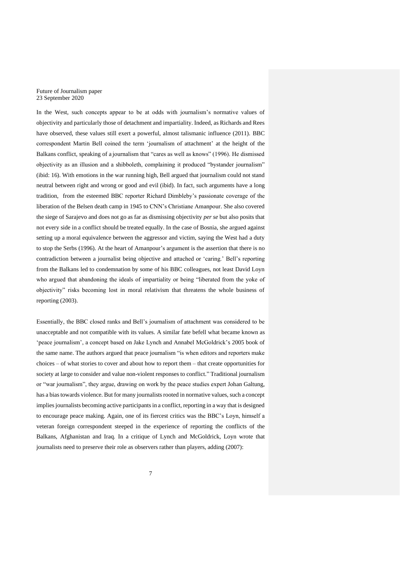In the West, such concepts appear to be at odds with journalism's normative values of objectivity and particularly those of detachment and impartiality. Indeed, as Richards and Rees have observed, these values still exert a powerful, almost talismanic influence (2011). BBC correspondent Martin Bell coined the term 'journalism of attachment' at the height of the Balkans conflict, speaking of a journalism that "cares as well as knows" (1996). He dismissed objectivity as an illusion and a shibboleth, complaining it produced "bystander journalism" (ibid: 16). With emotions in the war running high, Bell argued that journalism could not stand neutral between right and wrong or good and evil (ibid). In fact, such arguments have a long tradition, from the esteemed BBC reporter Richard Dimbleby's passionate coverage of the liberation of the Belsen death camp in 1945 to CNN's Christiane Amanpour. She also covered the siege of Sarajevo and does not go as far as dismissing objectivity *per se* but also posits that not every side in a conflict should be treated equally. In the case of Bosnia, she argued against setting up a moral equivalence between the aggressor and victim, saying the West had a duty to stop the Serbs (1996). At the heart of Amanpour's argument is the assertion that there is no contradiction between a journalist being objective and attached or 'caring.' Bell's reporting from the Balkans led to condemnation by some of his BBC colleagues, not least David Loyn who argued that abandoning the ideals of impartiality or being "liberated from the yoke of objectivity" risks becoming lost in moral relativism that threatens the whole business of reporting (2003).

Essentially, the BBC closed ranks and Bell's journalism of attachment was considered to be unacceptable and not compatible with its values. A similar fate befell what became known as 'peace journalism', a concept based on Jake Lynch and Annabel McGoldrick's 2005 book of the same name. The authors argued that peace journalism "is when editors and reporters make choices – of what stories to cover and about how to report them – that create opportunities for society at large to consider and value non-violent responses to conflict." Traditional journalism or "war journalism", they argue, drawing on work by the peace studies expert Johan Galtung, has a bias towards violence. But for many journalists rooted in normative values, such a concept implies journalists becoming active participants in a conflict, reporting in a way that is designed to encourage peace making. Again, one of its fiercest critics was the BBC's Loyn, himself a veteran foreign correspondent steeped in the experience of reporting the conflicts of the Balkans, Afghanistan and Iraq. In a critique of Lynch and McGoldrick, Loyn wrote that journalists need to preserve their role as observers rather than players, adding (2007):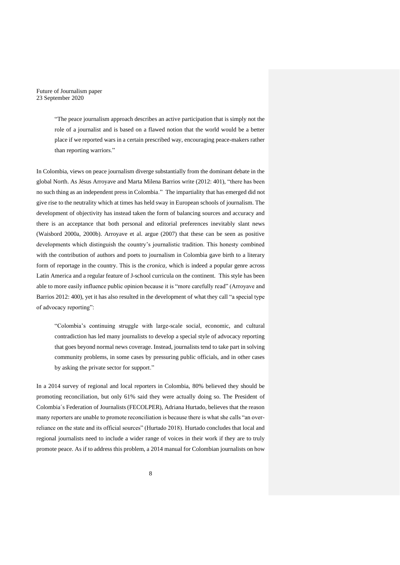"The peace journalism approach describes an active participation that is simply not the role of a journalist and is based on a flawed notion that the world would be a better place if we reported wars in a certain prescribed way, encouraging peace-makers rather than reporting warriors."

In Colombia, views on peace journalism diverge substantially from the dominant debate in the global North. As Jésus Arroyave and Marta Milena Barrios write (2012: 401), "there has been no such thing as an independent press in Colombia." The impartiality that has emerged did not give rise to the neutrality which at times has held sway in European schools of journalism. The development of objectivity has instead taken the form of balancing sources and accuracy and there is an acceptance that both personal and editorial preferences inevitably slant news (Waisbord 2000a, 2000b). Arroyave et al. argue (2007) that these can be seen as positive developments which distinguish the country's journalistic tradition. This honesty combined with the contribution of authors and poets to journalism in Colombia gave birth to a literary form of reportage in the country. This is the *cronica*, which is indeed a popular genre across Latin America and a regular feature of J-school curricula on the continent. This style has been able to more easily influence public opinion because it is "more carefully read" (Arroyave and Barrios 2012: 400), yet it has also resulted in the development of what they call "a special type of advocacy reporting":

"Colombia's continuing struggle with large-scale social, economic, and cultural contradiction has led many journalists to develop a special style of advocacy reporting that goes beyond normal news coverage. Instead, journalists tend to take part in solving community problems, in some cases by pressuring public officials, and in other cases by asking the private sector for support."

In a 2014 survey of regional and local reporters in Colombia, 80% believed they should be promoting reconciliation, but only 61% said they were actually doing so. The President of Colombia´s Federation of Journalists (FECOLPER), Adriana Hurtado, believes that the reason many reporters are unable to promote reconciliation is because there is what she calls "an overreliance on the state and its official sources" (Hurtado 2018). Hurtado concludes that local and regional journalists need to include a wider range of voices in their work if they are to truly promote peace. As if to address this problem, a 2014 manual for Colombian journalists on how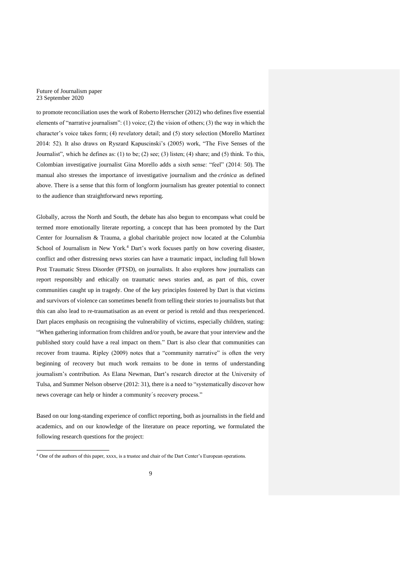to promote reconciliation uses the work of Roberto Herrscher (2012) who defines five essential elements of "narrative journalism":  $(1)$  voice;  $(2)$  the vision of others;  $(3)$  the way in which the character's voice takes form; (4) revelatory detail; and (5) story selection (Morello Martínez 2014: 52). It also draws on Ryszard Kapuscinski's (2005) work, "The Five Senses of the Journalist", which he defines as: (1) to be; (2) see; (3) listen; (4) share; and (5) think. To this, Colombian investigative journalist Gina Morello adds a sixth sense: "feel" (2014: 50). The manual also stresses the importance of investigative journalism and the *crónica* as defined above. There is a sense that this form of longform journalism has greater potential to connect to the audience than straightforward news reporting.

Globally, across the North and South, the debate has also begun to encompass what could be termed more emotionally literate reporting, a concept that has been promoted by the Dart Center for Journalism & Trauma, a global charitable project now located at the Columbia School of Journalism in New York.<sup>4</sup> Dart's work focuses partly on how covering disaster, conflict and other distressing news stories can have a traumatic impact, including full blown Post Traumatic Stress Disorder (PTSD), on journalists. It also explores how journalists can report responsibly and ethically on traumatic news stories and, as part of this, cover communities caught up in tragedy. One of the key principles fostered by Dart is that victims and survivors of violence can sometimes benefit from telling their stories to journalists but that this can also lead to re-traumatisation as an event or period is retold and thus reexperienced. Dart places emphasis on recognising the vulnerability of victims, especially children, stating: "When gathering information from children and/or youth, be aware that your interview and the published story could have a real impact on them." Dart is also clear that communities can recover from trauma. Ripley (2009) notes that a "community narrative" is often the very beginning of recovery but much work remains to be done in terms of understanding journalism's contribution. As Elana Newman, Dart's research director at the University of Tulsa, and Summer Nelson observe (2012: 31), there is a need to "systematically discover how news coverage can help or hinder a community´s recovery process."

Based on our long-standing experience of conflict reporting, both as journalists in the field and academics, and on our knowledge of the literature on peace reporting, we formulated the following research questions for the project:

<sup>4</sup> One of the authors of this paper, xxxx, is a trustee and chair of the Dart Center's European operations.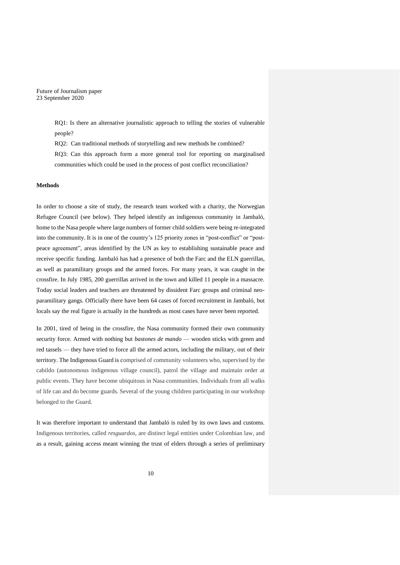> RQ1: Is there an alternative journalistic approach to telling the stories of vulnerable people?

RQ2: Can traditional methods of storytelling and new methods be combined?

RQ3: Can this approach form a more general tool for reporting on marginalised communities which could be used in the process of post conflict reconciliation?

## **Methods**

In order to choose a site of study, the research team worked with a charity, the Norwegian Refugee Council (see below). They helped identify an indigenous community in Jambaló, home to the Nasa people where large numbers of former child soldiers were being re-integrated into the community. It is in one of the country's 125 priority zones in "post-conflict" or "postpeace agreement", areas identified by the UN as key to establishing sustainable peace and receive specific funding. Jambaló has had a presence of both the Farc and the ELN guerrillas, as well as paramilitary groups and the armed forces. For many years, it was caught in the crossfire. In July 1985, 200 guerrillas arrived in the town and killed 11 people in a massacre. Today social leaders and teachers are threatened by dissident Farc groups and criminal neoparamilitary gangs. Officially there have been 64 cases of forced recruitment in Jambaló, but locals say the real figure is actually in the hundreds as most cases have never been reported.

In 2001, tired of being in the crossfire, the Nasa community formed their own community security force. Armed with nothing but *bastones de mando* — wooden sticks with green and red tassels — they have tried to force all the armed actors, including the military, out of their territory. The Indigenous Guard is comprised of community volunteers who, supervised by the cabildo (autonomous indigenous village council), patrol the village and maintain order at public events. They have become ubiquitous in Nasa communities. Individuals from all walks of life can and do become guards. Several of the young children participating in our workshop belonged to the Guard.

It was therefore important to understand that Jambaló is ruled by its own laws and customs. Indigenous territories, called *resguardos*, are distinct legal entities under Colombian law, and as a result, gaining access meant winning the trust of elders through a series of preliminary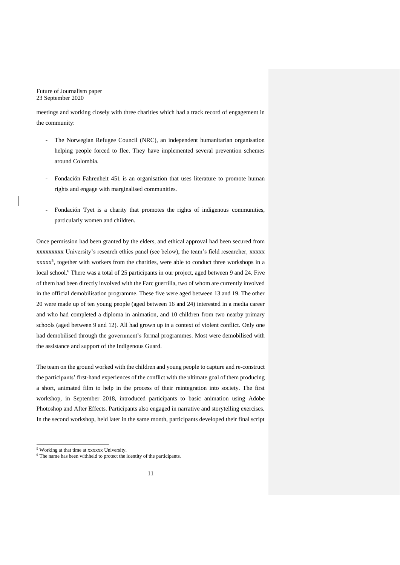meetings and working closely with three charities which had a track record of engagement in the community:

- The Norwegian Refugee Council (NRC), an independent humanitarian organisation helping people forced to flee. They have implemented several prevention schemes around Colombia.
- Fondación Fahrenheit 451 is an organisation that uses literature to promote human rights and engage with marginalised communities.
- Fondación Tyet is a charity that promotes the rights of indigenous communities, particularly women and children.

Once permission had been granted by the elders, and ethical approval had been secured from xxxxxxxxx University's research ethics panel (see below), the team's field researcher, xxxxx xxxx<sup>5</sup>, together with workers from the charities, were able to conduct three workshops in a local school.<sup>6</sup> There was a total of 25 participants in our project, aged between 9 and 24. Five of them had been directly involved with the Farc guerrilla, two of whom are currently involved in the official demobilisation programme. These five were aged between 13 and 19. The other 20 were made up of ten young people (aged between 16 and 24) interested in a media career and who had completed a diploma in animation, and 10 children from two nearby primary schools (aged between 9 and 12). All had grown up in a context of violent conflict. Only one had demobilised through the government's formal programmes. Most were demobilised with the assistance and support of the Indigenous Guard.

The team on the ground worked with the children and young people to capture and re-construct the participants' first-hand experiences of the conflict with the ultimate goal of them producing a short, animated film to help in the process of their reintegration into society. The first workshop, in September 2018, introduced participants to basic animation using Adobe Photoshop and After Effects. Participants also engaged in narrative and storytelling exercises. In the second workshop, held later in the same month, participants developed their final script

<sup>&</sup>lt;sup>5</sup> Working at that time at xxxxxx University.

<sup>&</sup>lt;sup>6</sup> The name has been withheld to protect the identity of the participants.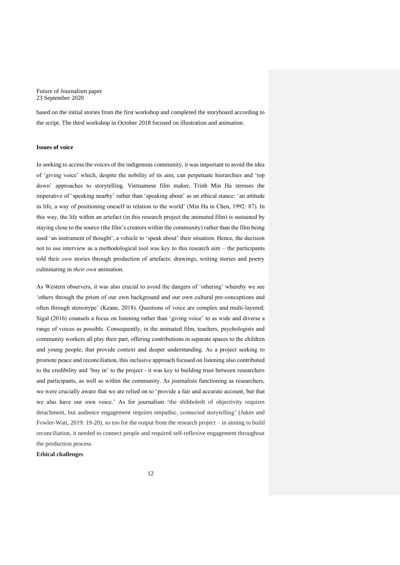based on the initial stories from the first workshop and completed the storyboard according to the script. The third workshop in October 2018 focused on illustration and animation.

## **Issues of voice**

In seeking to access the voices of the indigenous community, it was important to avoid the idea of 'giving voice' which, despite the nobility of its aim, can perpetuate hierarchies and 'top down' approaches to storytelling. Vietnamese film maker, Trinh Min Ha stresses the imperative of 'speaking nearby' rather than 'speaking about' as an ethical stance: 'an attitude in life, a way of positioning oneself in relation to the world' (Min Ha in Chen, 1992: 87). In this way, the life within an artefact (in this research project the animated film) is sustained by staying close to the source (the film's creators within the community) rather than the film being used 'an instrument of thought', a vehicle to 'speak about' their situation. Hence, the decision not to use interview as a methodological tool was key to this research aim – the participants told their *own* stories through production of artefacts: drawings, writing stories and poetry culminating in *their own* animation.

As Western observers, it was also crucial to avoid the dangers of 'othering' whereby we see 'others through the prism of our own background and our own cultural pre-conceptions and often through stereotype' (Keane, 2018). Questions of voice are complex and multi-layered; Sigal (2016) counsels a focus on listening rather than 'giving voice' to as wide and diverse a range of voices as possible. Consequently, in the animated film, teachers, psychologists and community workers all play their part, offering contributions in separate spaces to the children and young people, that provide context and deeper understanding. As a project seeking to promote peace and reconciliation, this inclusive approach focused on listening also contributed to the credibility and 'buy in' to the project - it was key to building trust between researchers and participants, as well as within the community. As journalists functioning as researchers, we were crucially aware that we are relied on to 'provide a fair and accurate account, but that we also have our own voice.' As for journalism 'the shibboleth of objectivity requires detachment, but audience engagement requires empathic, connected storytelling' (Jukes and Fowler-Watt, 2019: 19-20), so too for the output from the research project – in aiming to build reconciliation, it needed to connect people and required self-reflexive engagement throughout the production process

## **Ethical challenges**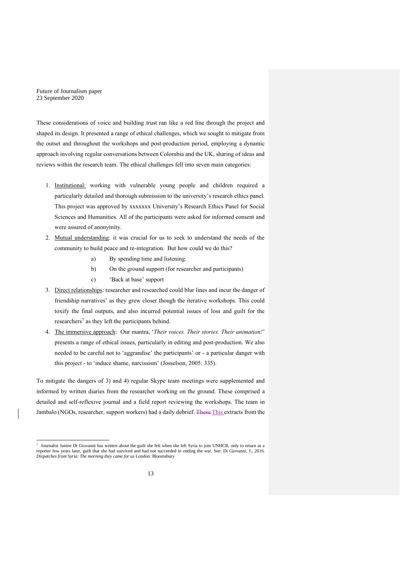These considerations of voice and building trust ran like a red line through the project and shaped its design. It presented a range of ethical challenges, which we sought to mitigate from the outset and throughout the workshops and post-production period, employing a dynamic approach involving regular conversations between Colombia and the UK, sharing of ideas and reviews within the research team. The ethical challenges fell into seven main categories:

- 1. Institutional: working with vulnerable young people and children required a particularly detailed and thorough submission to the university's research ethics panel. This project was approved by xxxxxxx University's Research Ethics Panel for Social Sciences and Humanities. All of the participants were asked for informed consent and were assured of anonymity.
- 2. Mutual understanding: it was crucial for us to seek to understand the needs of the community to build peace and re-integration. But how could we do this?
	- a) By spending time and listening.
	- b) On the ground support (for researcher and participants)
	- c) 'Back at base' support
- 3. Direct relationships: researcher and researched could blur lines and incur the danger of friendship narratives' as they grew closer though the iterative workshops. This could toxify the final outputs, and also incurred potential issues of loss and guilt for the researchers<sup>7</sup> as they left the participants behind.
- 4. The immersive approach: Our mantra, '*Their voices. Their stories. Their animation!*' presents a range of ethical issues, particularly in editing and post-production. We also needed to be careful not to 'aggrandise' the participants' or - a particular danger with this project - to 'induce shame, narcissism' (Josselson, 2005: 335).

To mitigate the dangers of 3) and 4) regular Skype team meetings were supplemented and informed by written diaries from the researcher working on the ground. These comprised a detailed and self-reflexive journal and a field report reviewing the workshops. The team in Jambalo (NGOs, researcher, support workers) had a daily debrief. These This extracts from the

<sup>7</sup> Journalist Janine Di Giovanni has written about the guilt she felt when she left Syria to join UNHCR, only to return as a reporter few years later, guilt that she had survived and had not succeeded in ending the war. See: Di Giovanni, J., 2016. *Dispatches from Syria: The morning they came for us* London: Bloomsbury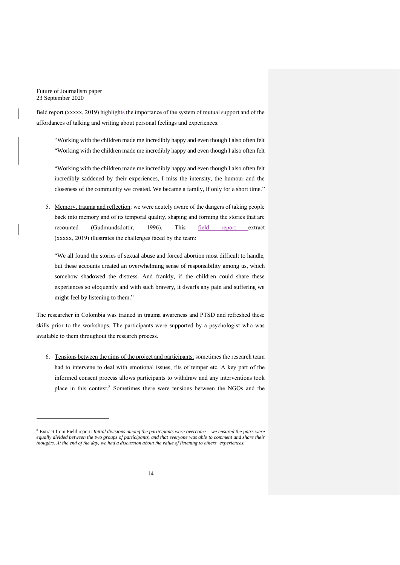field report (xxxxx, 2019) highlights the importance of the system of mutual support and of the affordances of talking and writing about personal feelings and experiences:

"Working with the children made me incredibly happy and even though I also often felt "Working with the children made me incredibly happy and even though I also often felt

"Working with the children made me incredibly happy and even though I also often felt incredibly saddened by their experiences, I miss the intensity, the humour and the closeness of the community we created. We became a family, if only for a short time."

5. Memory, trauma and reflection: we were acutely aware of the dangers of taking people back into memory and of its temporal quality, shaping and forming the stories that are recounted (Gudmundsdottir, 1996). This field report extract (xxxxx, 2019) illustrates the challenges faced by the team:

"We all found the stories of sexual abuse and forced abortion most difficult to handle, but these accounts created an overwhelming sense of responsibility among us, which somehow shadowed the distress. And frankly, if the children could share these experiences so eloquently and with such bravery, it dwarfs any pain and suffering we might feel by listening to them."

The researcher in Colombia was trained in trauma awareness and PTSD and refreshed these skills prior to the workshops. The participants were supported by a psychologist who was available to them throughout the research process.

6. Tensions between the aims of the project and participants: sometimes the research team had to intervene to deal with emotional issues, fits of temper etc. A key part of the informed consent process allows participants to withdraw and any interventions took place in this context. <sup>8</sup> Sometimes there were tensions between the NGOs and the

<sup>8</sup> Extract from Field report: *Initial divisions among the participants were overcome – we ensured the pairs were equally divided between the two groups of participants, and that everyone was able to comment and share their thoughts. At the end of the day, we had a discussion about the value of listening to others' experiences.*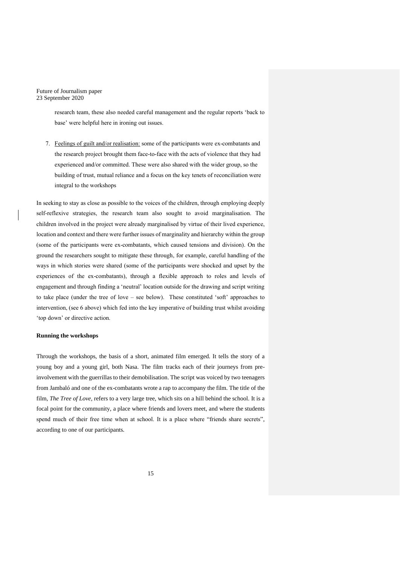research team, these also needed careful management and the regular reports 'back to base' were helpful here in ironing out issues.

7. Feelings of guilt and/or realisation: some of the participants were ex-combatants and the research project brought them face-to-face with the acts of violence that they had experienced and/or committed. These were also shared with the wider group, so the building of trust, mutual reliance and a focus on the key tenets of reconciliation were integral to the workshops

In seeking to stay as close as possible to the voices of the children, through employing deeply self-reflexive strategies, the research team also sought to avoid marginalisation. The children involved in the project were already marginalised by virtue of their lived experience, location and context and there were further issues of marginality and hierarchy within the group (some of the participants were ex-combatants, which caused tensions and division). On the ground the researchers sought to mitigate these through, for example, careful handling of the ways in which stories were shared (some of the participants were shocked and upset by the experiences of the ex-combatants), through a flexible approach to roles and levels of engagement and through finding a 'neutral' location outside for the drawing and script writing to take place (under the tree of love – see below). These constituted 'soft' approaches to intervention, (see 6 above) which fed into the key imperative of building trust whilst avoiding 'top down' or directive action.

#### **Running the workshops**

Through the workshops, the basis of a short, animated film emerged. It tells the story of a young boy and a young girl, both Nasa. The film tracks each of their journeys from preinvolvement with the guerrillas to their demobilisation. The script was voiced by two teenagers from Jambaló and one of the ex-combatants wrote a rap to accompany the film. The title of the film, *The Tree of Love,* refers to a very large tree, which sits on a hill behind the school. It is a focal point for the community, a place where friends and lovers meet, and where the students spend much of their free time when at school. It is a place where "friends share secrets", according to one of our participants.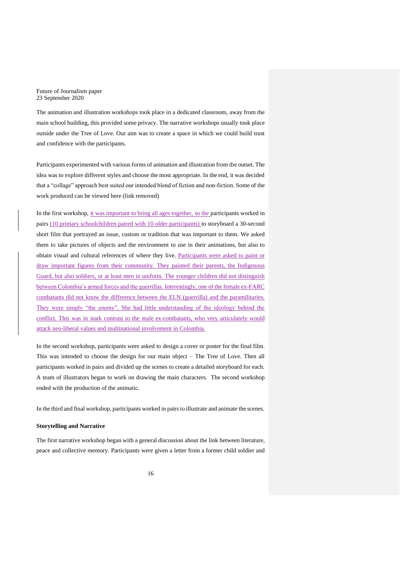The animation and illustration workshops took place in a dedicated classroom, away from the main school building, this provided some privacy. The narrative workshops usually took place outside under the Tree of Love. Our aim was to create a space in which we could build trust and confidence with the participants.

Participants experimented with various forms of animation and illustration from the outset. The idea was to explore different styles and choose the most appropriate. In the end, it was decided that a "collage" approach best suited our intended blend of fiction and non-fiction. Some of the work produced can be viewed here (link removed)

In the first workshop, it was important to bring all ages together, so the participants worked in pairs (10 primary schoolchildren paired with 10 older participants) to storyboard a 30-second short film that portrayed an issue, custom or tradition that was important to them. We asked them to take pictures of objects and the environment to use in their animations, but also to obtain visual and cultural references of where they live. Participants were asked to paint or draw important figures from their community. They painted their parents, the Indigenous Guard, but also soldiers, or at least men in uniform. The younger children did not distinguish between Colombia's armed forces and the guerrillas. Interestingly, one of the female ex-FARC combatants did not know the difference between the ELN (guerrilla) and the paramilitaries. They were simply "the enemy". She had little understanding of the ideology behind the conflict. This was in stark contrast to the male ex-combatants, who very articulately would attack neo-liberal values and multinational involvement in Colombia.

In the second workshop, participants were asked to design a cover or poster for the final film. This was intended to choose the design for our main object – The Tree of Love. Then all participants worked in pairs and divided up the scenes to create a detailed storyboard for each. A team of illustrators began to work on drawing the main characters. The second workshop ended with the production of the animatic.

In the third and final workshop, participants worked in pairs to illustrate and animate the scenes.

## **Storytelling and Narrative**

The first narrative workshop began with a general discussion about the link between literature, peace and collective memory. Participants were given a letter from a former child soldier and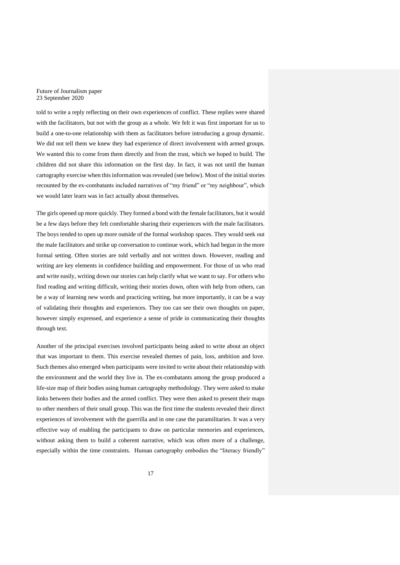told to write a reply reflecting on their own experiences of conflict. These replies were shared with the facilitators, but not with the group as a whole. We felt it was first important for us to build a one-to-one relationship with them as facilitators before introducing a group dynamic. We did not tell them we knew they had experience of direct involvement with armed groups. We wanted this to come from them directly and from the trust, which we hoped to build. The children did not share this information on the first day. In fact, it was not until the human cartography exercise when this information was revealed (see below). Most of the initial stories recounted by the ex-combatants included narratives of "my friend" or "my neighbour", which we would later learn was in fact actually about themselves.

The girls opened up more quickly. They formed a bond with the female facilitators, but it would be a few days before they felt comfortable sharing their experiences with the male facilitators. The boys tended to open up more outside of the formal workshop spaces. They would seek out the male facilitators and strike up conversation to continue work, which had begun in the more formal setting. Often stories are told verbally and not written down. However, reading and writing are key elements in confidence building and empowerment. For those of us who read and write easily, writing down our stories can help clarify what we want to say. For others who find reading and writing difficult, writing their stories down, often with help from others, can be a way of learning new words and practicing writing, but more importantly, it can be a way of validating their thoughts and experiences. They too can see their own thoughts on paper, however simply expressed, and experience a sense of pride in communicating their thoughts through text.

Another of the principal exercises involved participants being asked to write about an object that was important to them. This exercise revealed themes of pain, loss, ambition and love. Such themes also emerged when participants were invited to write about their relationship with the environment and the world they live in. The ex-combatants among the group produced a life-size map of their bodies using human cartography methodology. They were asked to make links between their bodies and the armed conflict. They were then asked to present their maps to other members of their small group. This was the first time the students revealed their direct experiences of involvement with the guerrilla and in one case the paramilitaries. It was a very effective way of enabling the participants to draw on particular memories and experiences, without asking them to build a coherent narrative, which was often more of a challenge, especially within the time constraints. Human cartography embodies the "literacy friendly"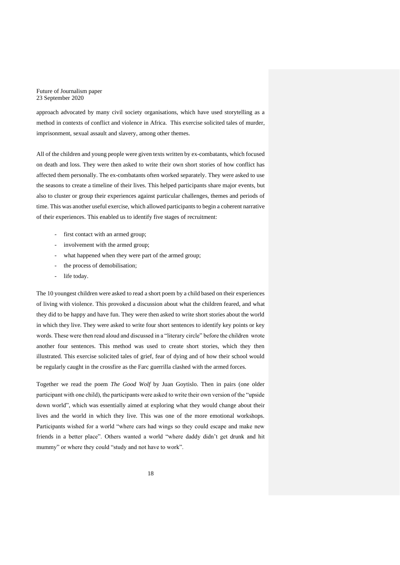approach advocated by many civil society organisations, which have used storytelling as a method in contexts of conflict and violence in Africa. This exercise solicited tales of murder, imprisonment, sexual assault and slavery, among other themes.

All of the children and young people were given texts written by ex-combatants, which focused on death and loss. They were then asked to write their own short stories of how conflict has affected them personally. The ex-combatants often worked separately. They were asked to use the seasons to create a timeline of their lives. This helped participants share major events, but also to cluster or group their experiences against particular challenges, themes and periods of time. This was another useful exercise, which allowed participants to begin a coherent narrative of their experiences. This enabled us to identify five stages of recruitment:

- first contact with an armed group;
- involvement with the armed group;
- what happened when they were part of the armed group;
- the process of demobilisation;
- life today.

The 10 youngest children were asked to read a short poem by a child based on their experiences of living with violence. This provoked a discussion about what the children feared, and what they did to be happy and have fun. They were then asked to write short stories about the world in which they live. They were asked to write four short sentences to identify key points or key words. These were then read aloud and discussed in a "literary circle" before the children wrote another four sentences. This method was used to create short stories, which they then illustrated. This exercise solicited tales of grief, fear of dying and of how their school would be regularly caught in the crossfire as the Farc guerrilla clashed with the armed forces.

Together we read the poem *The Good Wolf* by Juan Goytislo. Then in pairs (one older participant with one child), the participants were asked to write their own version of the "upside down world", which was essentially aimed at exploring what they would change about their lives and the world in which they live. This was one of the more emotional workshops. Participants wished for a world "where cars had wings so they could escape and make new friends in a better place". Others wanted a world "where daddy didn't get drunk and hit mummy" or where they could "study and not have to work".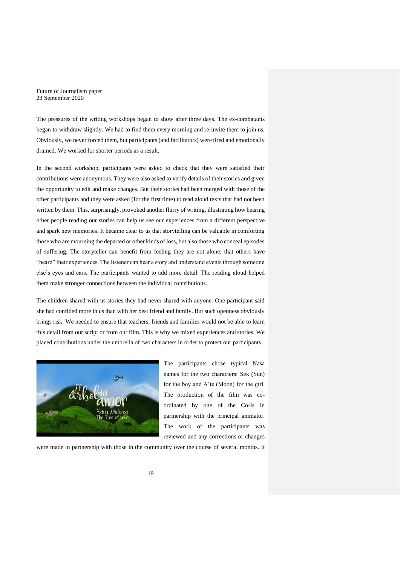The pressures of the writing workshops began to show after three days. The ex-combatants began to withdraw slightly. We had to find them every morning and re-invite them to join us. Obviously, we never forced them, but participants (and facilitators) were tired and emotionally drained. We worked for shorter periods as a result.

In the second workshop, participants were asked to check that they were satisfied their contributions were anonymous. They were also asked to verify details of their stories and given the opportunity to edit and make changes. But their stories had been merged with those of the other participants and they were asked (for the first time) to read aloud texts that had not been written by them. This, surprisingly, provoked another flurry of writing, illustrating how hearing other people reading our stories can help us see our experiences from a different perspective and spark new memories. It became clear to us that storytelling can be valuable in comforting those who are mourning the departed or other kinds of loss, but also those who conceal episodes of suffering. The storyteller can benefit from feeling they are not alone; that others have "heard" their experiences. The listener can hear a story and understand events through someone else's eyes and ears. The participants wanted to add more detail. The reading aloud helped them make stronger connections between the individual contributions.

The children shared with us stories they had never shared with anyone. One participant said she had confided more in us than with her best friend and family. But such openness obviously brings risk. We needed to ensure that teachers, friends and families would not be able to learn this detail from our script or from our film. This is why we mixed experiences and stories. We placed contributions under the umbrella of two characters in order to protect our participants.



The participants chose typical Nasa names for the two characters: Sek (Sun) for the boy and A'te (Moon) for the girl. The production of the film was coordinated by one of the Co-Is in partnership with the principal animator. The work of the participants was reviewed and any corrections or changes

were made in partnership with those in the community over the course of several months. It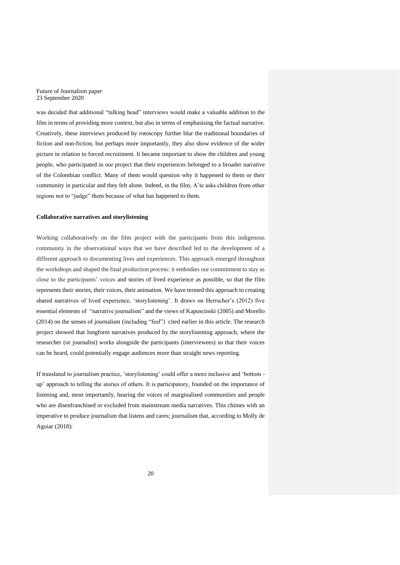was decided that additional "talking head" interviews would make a valuable addition to the film in terms of providing more context, but also in terms of emphasising the factual narrative. Creatively, these interviews produced by rotoscopy further blur the traditional boundaries of fiction and non-fiction, but perhaps more importantly, they also show evidence of the wider picture in relation to forced recruitment. It became important to show the children and young people, who participated in our project that their experiences belonged to a broader narrative of the Colombian conflict. Many of them would question why it happened to them or their community in particular and they felt alone. Indeed, in the film, A'te asks children from other regions not to "judge" them because of what has happened to them.

## **Collaborative narratives and storylistening**

Working collaboratively on the film project with the participants from this indigenous community in the observational ways that we have described led to the development of a different approach to documenting lives and experiences. This approach emerged throughout the workshops and shaped the final production process: it embodies our commitment to stay as close to the participants' voices and stories of lived experience as possible, so that the film represents their stories, their voices, their animation. We have termed this approach to creating shared narratives of lived experience, 'storylistening'. It draws on Herrscher's (2012) five essential elements of "narrative journalism" and the views of Kapuscinski (2005) and Morello (2014) on the senses of journalism (including "feel") cited earlier in this article. The research project showed that longform narratives produced by the storylistening approach, where the researcher (or journalist) works alongside the participants (interviewees) so that their voices can be heard, could potentially engage audiences more than straight news reporting.

If translated to journalism practice, 'storylistening' could offer a more inclusive and 'bottom up' approach to telling the stories of others. It is participatory, founded on the importance of listening and, most importantly, hearing the voices of marginalised communities and people who are disenfranchised or excluded from mainstream media narratives. This chimes with an imperative to produce journalism that listens and cares; journalism that, according to Molly de Aguiar (2018):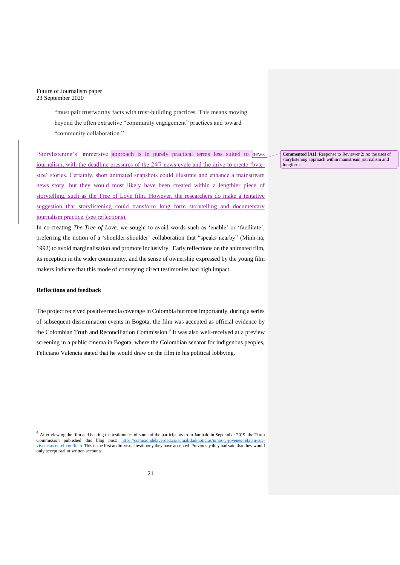"must pair trustworthy facts with trust-building practices. This means moving beyond the often extractive "community engagement" practices and toward "community collaboration."

'Storylistening's' immersive approach is in purely practical terms less suited to news journalism, with the deadline pressures of the 24/7 news cycle and the drive to create 'bytesize' stories. Certainly, short animated snapshots could illustrate and enhance a mainstream news story, but they would most likely have been created within a lengthier piece of storytelling, such as the Tree of Love film. However, the researchers do make a tentative suggestion that storylistening could transform long form storytelling and documentary journalism practice. (see reflections).

In co-creating *The Tree of Love*, we sought to avoid words such as 'enable' or 'facilitate', preferring the notion of a 'shoulder-shoulder' collaboration that "speaks nearby" (Minh-ha, 1992) to avoid marginalisation and promote inclusivity. Early reflections on the animated film, its reception in the wider community, and the sense of ownership expressed by the young film makers indicate that this mode of conveying direct testimonies had high impact.

## **Reflections and feedback**

The project received positive media coverage in Colombia but most importantly, during a series of subsequent dissemination events in Bogota, the film was accepted as official evidence by the Colombian Truth and Reconciliation Commission. 9 It was also well-received at a preview screening in a public cinema in Bogota, where the Colombian senator for indigenous peoples, Feliciano Valencia stated that he would draw on the film in his political lobbying.

**Commented [A1]:** Response to Reviewer 2: re: the uses of storylistening approach within mainstream journalism and longform.

<sup>&</sup>lt;sup>9</sup> After viewing the film and hearing the testimonies of some of the participants from Jambalo in September 2019, the Truth Commission published this blog post: https://comisiondelaverdad.co/actualidad/noticias/ninos-y-jovenes-relatan-sus-<br>[vivencias-en-el-conflicto](https://comisiondelaverdad.co/actualidad/noticias/ninos-y-jovenes-relatan-sus-vivencias-en-el-conflicto) This is the first audio-visual testimony they have accepted. Previously they had only accept oral or written accounts.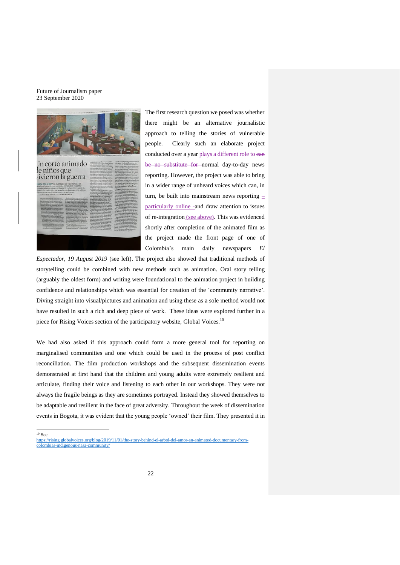Future of Journalism paper 23 September 2020



The first research question we posed was whether there might be an alternative journalistic approach to telling the stories of vulnerable people. Clearly such an elaborate project conducted over a year plays a different role to ean be no substitute for normal day-to-day news reporting. However, the project was able to bring in a wider range of unheard voices which can, in turn, be built into mainstream news reporting – particularly online -and draw attention to issues of re-integration (see above). This was evidenced shortly after completion of the animated film as the project made the front page of one of Colombia's main daily newspapers *El* 

*Espectador, 19 August 2019* (see left). The project also showed that traditional methods of storytelling could be combined with new methods such as animation. Oral story telling (arguably the oldest form) and writing were foundational to the animation project in building confidence and relationships which was essential for creation of the 'community narrative'. Diving straight into visual/pictures and animation and using these as a sole method would not have resulted in such a rich and deep piece of work. These ideas were explored further in a piece for Rising Voices section of the participatory website, Global Voices.<sup>10</sup>

We had also asked if this approach could form a more general tool for reporting on marginalised communities and one which could be used in the process of post conflict reconciliation. The film production workshops and the subsequent dissemination events demonstrated at first hand that the children and young adults were extremely resilient and articulate, finding their voice and listening to each other in our workshops. They were not always the fragile beings as they are sometimes portrayed. Instead they showed themselves to be adaptable and resilient in the face of great adversity. Throughout the week of dissemination events in Bogota, it was evident that the young people 'owned' their film. They presented it in

<sup>10</sup> See[:](https://eur02.safelinks.protection.outlook.com/?url=https%3A%2F%2Frising.globalvoices.org%2Fblog%2F2019%2F11%2F01%2Fthe-story-behind-el-arbol-del-amor-an-animated-documentary-from-colombias-indigenous-nasa-community%2F&data=02%7C01%7Ckfowler-watt%40bournemouth.ac.uk%7C18508b4554cb46e924fa08d760855b78%7Cede29655d09742e4bbb5f38d427fbfb8%7C0%7C0%7C637083998210727144&sdata=zQnbYvDONMCK6p7BSnVuQyYLuBfJ0d4H%2BWrWsA9hopQ%3D&reserved=0) 

[https://rising.globalvoices.org/blog/2019/11/01/the-story-behind-el-arbol-del-amor-an-animated-documentary-from](https://eur02.safelinks.protection.outlook.com/?url=https%3A%2F%2Frising.globalvoices.org%2Fblog%2F2019%2F11%2F01%2Fthe-story-behind-el-arbol-del-amor-an-animated-documentary-from-colombias-indigenous-nasa-community%2F&data=02%7C01%7Ckfowler-watt%40bournemouth.ac.uk%7C18508b4554cb46e924fa08d760855b78%7Cede29655d09742e4bbb5f38d427fbfb8%7C0%7C0%7C637083998210727144&sdata=zQnbYvDONMCK6p7BSnVuQyYLuBfJ0d4H%2BWrWsA9hopQ%3D&reserved=0)[colombias-indigenous-nasa-community/](https://eur02.safelinks.protection.outlook.com/?url=https%3A%2F%2Frising.globalvoices.org%2Fblog%2F2019%2F11%2F01%2Fthe-story-behind-el-arbol-del-amor-an-animated-documentary-from-colombias-indigenous-nasa-community%2F&data=02%7C01%7Ckfowler-watt%40bournemouth.ac.uk%7C18508b4554cb46e924fa08d760855b78%7Cede29655d09742e4bbb5f38d427fbfb8%7C0%7C0%7C637083998210727144&sdata=zQnbYvDONMCK6p7BSnVuQyYLuBfJ0d4H%2BWrWsA9hopQ%3D&reserved=0)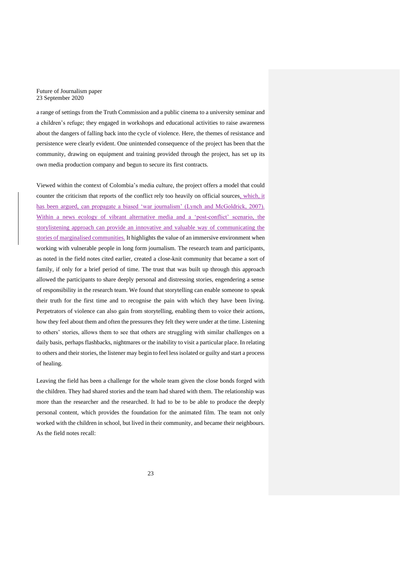a range of settings from the Truth Commission and a public cinema to a university seminar and a children's refuge; they engaged in workshops and educational activities to raise awareness about the dangers of falling back into the cycle of violence. Here, the themes of resistance and persistence were clearly evident. One unintended consequence of the project has been that the community, drawing on equipment and training provided through the project, has set up its own media production company and begun to secure its first contracts.

Viewed within the context of Colombia's media culture, the project offers a model that could counter the criticism that reports of the conflict rely too heavily on official sources, which, it has been argued, can propagate a biased 'war journalism' (Lynch and McGoldrick, 2007). Within a news ecology of vibrant alternative media and a 'post-conflict' scenario, the storylistening approach can provide an innovative and valuable way of communicating the stories of marginalised communities. It highlights the value of an immersive environment when working with vulnerable people in long form journalism. The research team and participants, as noted in the field notes cited earlier, created a close-knit community that became a sort of family, if only for a brief period of time. The trust that was built up through this approach allowed the participants to share deeply personal and distressing stories, engendering a sense of responsibility in the research team. We found that storytelling can enable someone to speak their truth for the first time and to recognise the pain with which they have been living. Perpetrators of violence can also gain from storytelling, enabling them to voice their actions, how they feel about them and often the pressures they felt they were under at the time. Listening to others' stories, allows them to see that others are struggling with similar challenges on a daily basis, perhaps flashbacks, nightmares or the inability to visit a particular place. In relating to others and their stories, the listener may begin to feel less isolated or guilty and start a process of healing.

Leaving the field has been a challenge for the whole team given the close bonds forged with the children. They had shared stories and the team had shared with them. The relationship was more than the researcher and the researched. It had to be to be able to produce the deeply personal content, which provides the foundation for the animated film. The team not only worked with the children in school, but lived in their community, and became their neighbours. As the field notes recall: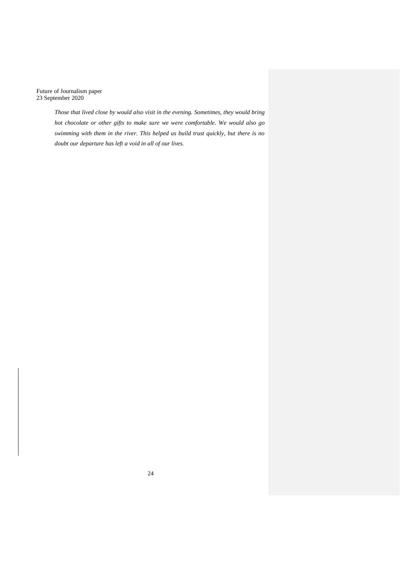> *Those that lived close by would also visit in the evening. Sometimes, they would bring hot chocolate or other gifts to make sure we were comfortable. We would also go swimming with them in the river. This helped us build trust quickly, but there is no doubt our departure has left a void in all of our lives.*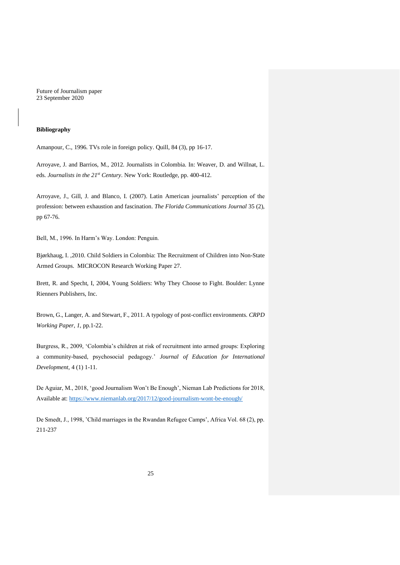## **Bibliography**

Amanpour, C., 1996. TVs role in foreign policy. Quill, 84 (3), pp 16-17.

Arroyave, J. and Barrios, M., 2012. Journalists in Colombia. In: Weaver, D. and Willnat, L. eds. *Journalists in the 21st Century*. New York: Routledge, pp. 400-412.

Arroyave, J., Gill, J. and Blanco, I. (2007). Latin American journalists' perception of the profession: between exhaustion and fascination. *The Florida Communications Journal* 35 (2), pp 67-76.

Bell, M., 1996. In Harm's Way. London: Penguin.

Bjørkhaug, I. ,2010. Child Soldiers in Colombia: The Recruitment of Children into Non-State Armed Groups. MICROCON Research Working Paper 27.

Brett, R. and Specht, I, 2004, Young Soldiers: Why They Choose to Fight. Boulder: Lynne Rienners Publishers, Inc.

Brown, G., Langer, A. and Stewart, F., 2011. A typology of post-conflict environments. *CRPD Working Paper*, *1*, pp.1-22.

Burgress, R., 2009, 'Colombia's children at risk of recruitment into armed groups: Exploring a community-based, psychosocial pedagogy.' *Journal of Education for International Development*, 4 (1) 1-11.

De Aguiar, M., 2018, 'good Journalism Won't Be Enough', Nieman Lab Predictions for 2018, Available at:<https://www.niemanlab.org/2017/12/good-journalism-wont-be-enough/>

De Smedt, J., 1998, 'Child marriages in the Rwandan Refugee Camps', Africa Vol. 68 (2), pp. 211-237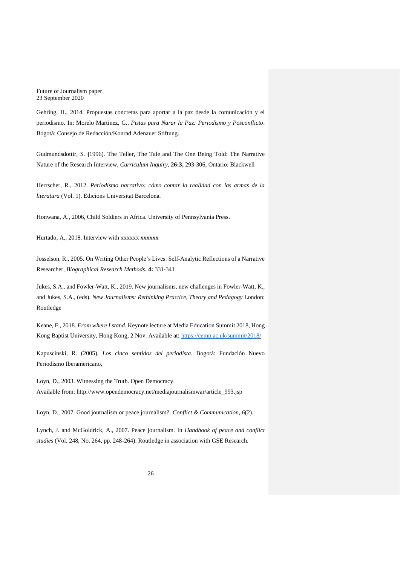Gehring, H., 2014. Propuestas concretas para aportar a la paz desde la comunicación y el periodismo. In: Morelo Martínez, G., *Pistas para Narar la Paz: Periodismo y Posconflicto*. Bogotá: Consejo de Redacción/Konrad Adenauer Stiftung.

Gudmundsdottir, S. **(**1996). The Teller, The Tale and The One Being Told: The Narrative Nature of the Research Interview, *Curriculum Inquiry,* **26:3,** 293-306, Ontario: Blackwell

Herrscher, R., 2012. *Periodismo narrativo: cómo contar la realidad con las armas de la literatura* (Vol. 1). Edicions Universitat Barcelona.

Honwana, A., 2006, Child Soldiers in Africa. University of Pennsylvania Press.

Hurtado, A., 2018. Interview with xxxxxx xxxxxx

Josselson, R., 2005. On Writing Other People's Lives: Self-Analytic Reflections of a Narrative Researcher, *Biographical Research Methods.* **4:** 331-341

Jukes, S.A., and Fowler-Watt, K., 2019. New journalisms, new challenges in Fowler-Watt, K., and Jukes, S.A., (eds). *New Journalisms: Rethinking Practice, Theory and Pedagogy* London: Routledge

Keane, F., 2018. *From where I stand*. Keynote lecture at Media Education Summit 2018, Hong Kong Baptist University, Hong Kong, 2 Nov. Available at:<https://cemp.ac.uk/summit/2018/>

Kapuscinski, R. (2005). *Los cinco sentidos del periodista*. Bogotá: Fundación Nuevo Periodismo Iberamericano,

Loyn, D., 2003. Witnessing the Truth. Open Democracy. Available from: http://www.opendemocracy.net/mediajournalismwar/article\_993.jsp

Loyn, D., 2007. Good journalism or peace journalism?. *Conflict & Communication*, *6*(2).

Lynch, J. and McGoldrick, A., 2007. Peace journalism. In *Handbook of peace and conflict studies* (Vol. 248, No. 264, pp. 248-264). Routledge in association with GSE Research.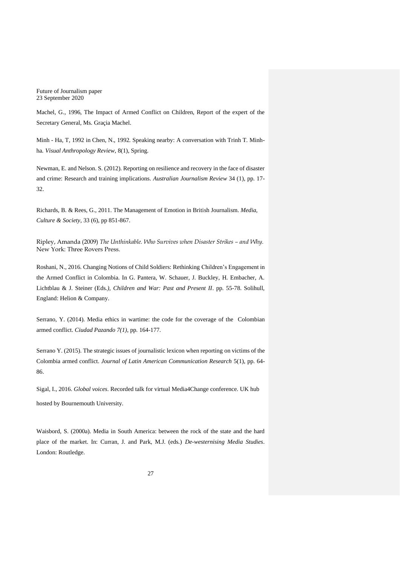Machel, G., 1996, The Impact of Armed Conflict on Children, Report of the expert of the Secretary General, Ms. Graçia Machel.

Minh - Ha, T, 1992 in Chen, N., 1992. Speaking nearby: A conversation with Trinh T. Minhha*. Visual Anthropology Review*, 8(1), Spring.

Newman, E. and Nelson. S. (2012). Reporting on resilience and recovery in the face of disaster and crime: Research and training implications. *Australian Journalism Review* 34 (1), pp. 17- 32.

Richards, B. & Rees, G., 2011. The Management of Emotion in British Journalism. *Media, Culture & Society*, 33 (6), pp 851-867.

Ripley, Amanda (2009) *The Unthinkable. Who Survives when Disaster Strikes - and Why.* New York: Three Rovers Press.

Roshani, N., 2016. Changing Notions of Child Soldiers: Rethinking Children's Engagement in the Armed Conflict in Colombia. In G. Pantera, W. Schauer, J. Buckley, H. Embacher, A. Lichtblau & J. Steiner (Eds*.), Children and War: Past and Present II*. pp. 55-78. Solihull, England: Helion & Company.

Serrano, Y. (2014). Media ethics in wartime: the code for the coverage of the Colombian armed conflict. *Ciudad Pazando 7(1)*, pp. 164-177.

Serrano Y. (2015). The strategic issues of journalistic lexicon when reporting on victims of the Colombia armed conflict. *Journal of Latin American Communication Research* 5(1), pp. 64- 86.

Sigal, I., 2016. *Global voices*. Recorded talk for virtual Media4Change conference. UK hub hosted by Bournemouth University.

Waisbord, S. (2000a). Media in South America: between the rock of the state and the hard place of the market. In: Curran, J. and Park, M.J. (eds.) *De-westernising Media Studies*. London: Routledge.